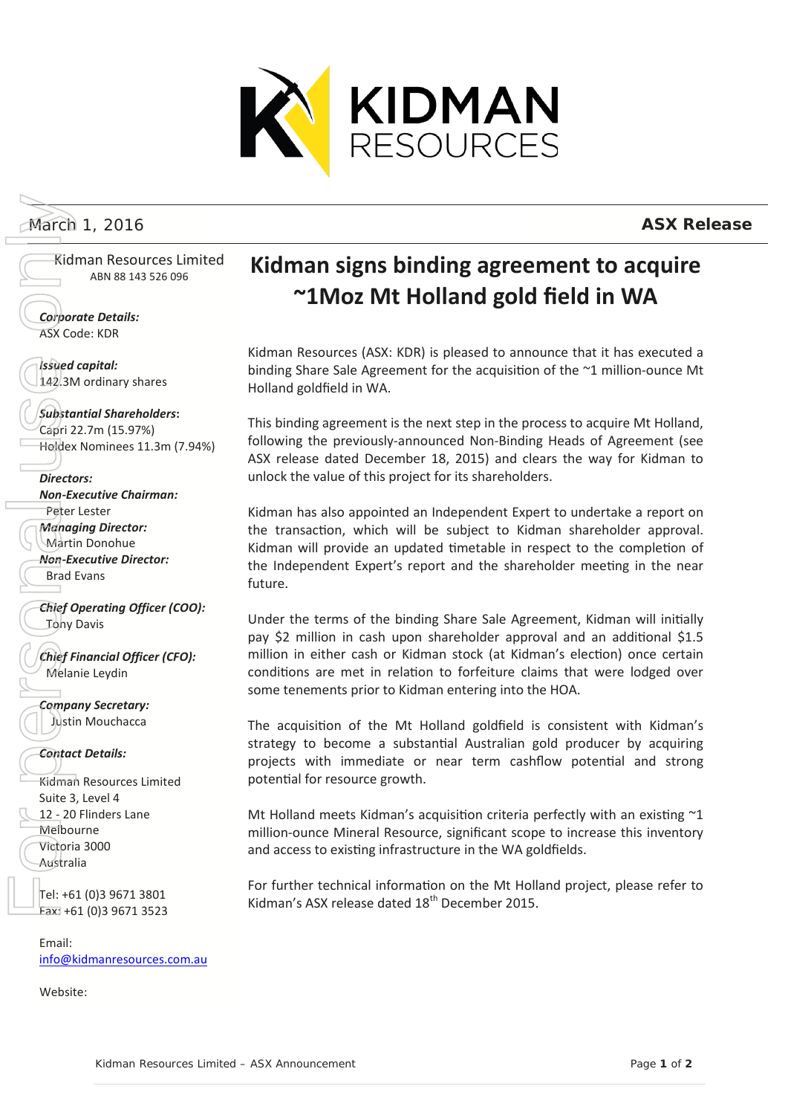

Kidman Resources Limited ABN 88 143 526 096

*Corporate Details:* ASX Code: KDR

*Issued capital:* 142.3M ordinary shares

## *Substantial Shareholders***:**

Capri 22.7m (15.97%) Holdex Nominees 11.3m (7.94%)

### *Directors:*

*Non-Executive Chairman:* Peter Lester *Managing Director:* Martin Donohue *Non-Executive Director:* Brad Evans

*Chief Operating Officer (COO):* **Tony Davis** 

*Chief Financial Officer (CFO):* Melanie Leydin

*Company Secretary:* Justin Mouchacca

### *Contact Details:*

Kidman Resources Limited Suite 3, Level 4 12 - 20 Flinders Lane Melbourne Victoria 3000 Australia

Tel: +61 (0)3 9671 3801 Fax: +61 (0)3 9671 3523

Email: [info@kidmanresources.com.au](mailto:info@kidmanresources.com.au)

Website:

# **Kidman signs binding agreement to acquire ~1Moz Mt Holland gold field in WA**

Kidman Resources (ASX: KDR) is pleased to announce that it has executed a binding Share Sale Agreement for the acquisition of the ~1 million-ounce Mt Holland goldfield in WA.

This binding agreement is the next step in the process to acquire Mt Holland, following the previously-announced Non-Binding Heads of Agreement (see ASX release dated December 18, 2015) and clears the way for Kidman to unlock the value of this project for its shareholders.

Kidman has also appointed an Independent Expert to undertake a report on the transaction, which will be subject to Kidman shareholder approval. Kidman will provide an updated timetable in respect to the completion of the Independent Expert's report and the shareholder meeting in the near future.

Under the terms of the binding Share Sale Agreement, Kidman will initially pay \$2 million in cash upon shareholder approval and an additional \$1.5 million in either cash or Kidman stock (at Kidman's election) once certain conditions are met in relation to forfeiture claims that were lodged over some tenements prior to Kidman entering into the HOA. March 1, 2016 **ASX Release 14.1**<br> **ASK Release Formulae Controllers (SSC PUBLISHER CONSERVATION CONSERVATION CONSERVATION CONSERVATION CONSERVATION CONSERVATION CONSERVATION CONSERVATION CONSERVATION CONSERVATION CONSERVAT** 

The acquisition of the Mt Holland goldfield is consistent with Kidman's strategy to become a substantial Australian gold producer by acquiring projects with immediate or near term cashflow potential and strong potential for resource growth.

Mt Holland meets Kidman's acquisition criteria perfectly with an existing ~1 million-ounce Mineral Resource, significant scope to increase this inventory and access to existing infrastructure in the WA goldfields.

For further technical information on the Mt Holland project, please refer to Kidman's ASX release dated 18<sup>th</sup> December 2015.